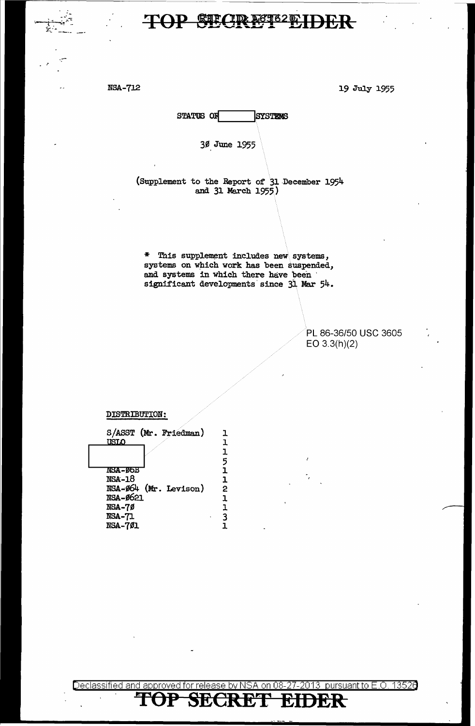.<br>مب

NSA-712 19 July 1955

STATUS OF SYSTEMS

36,June 1955

(Supplement to the Report of' 31.December 1954 and 31 March 1955.)

\* This supplement includes new systems, systems on which work has been suspended, and systems in which there have been significant developments' since 31 Mar 54.

> PL 86-36/50 USC 3605 EO 3.3(h)(2)

DISTRIBUTION:

| S/ASST (Mr. Friedman)<br>USLO          | ı<br>ı                                    |
|----------------------------------------|-------------------------------------------|
|                                        | ı                                         |
| <b>NSA – 05B</b>                       | 5<br>1                                    |
| <b>NSA-18</b><br>NSA-Ø64 (Mr. Levison) | $\frac{1}{2}$                             |
| NSA-Ø621                               | $\overline{1}$<br>$\overline{\mathbf{1}}$ |
| <b>NSA-70</b><br><b>NSA-71</b>         | $\frac{1}{1}$                             |
| <b>NSA-701</b>                         |                                           |

Declassified and approved for release by NSA on 08-27-2013 pursuant to E.O. 13526

**SECRET EIDER**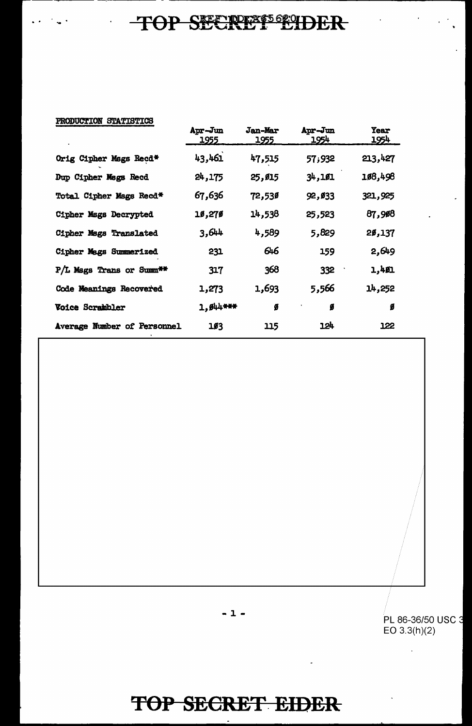| PRODUCTION STATISTICS |  |
|-----------------------|--|
|                       |  |

 $\hat{\mathbf{r}}$ 

. .

|                             | Apr-Jun<br><u> 1955 </u> | <b>Jan-Mar</b><br>1955 | Apr-Jun<br><u> 1954 </u> | <b>Year</b><br><u> 1954 </u> |
|-----------------------------|--------------------------|------------------------|--------------------------|------------------------------|
| Orig Cipher Mags Recd*      | 43,461                   | 47,515                 | 57,932                   | 213,427                      |
| Dup Cipher Mags Recd        | 24,175                   | 25,015                 | 34,101                   | 108,498                      |
| Total Cipher Msgs Recd*     | 67,636                   | 72,530                 | 92,033                   | 321,925                      |
| Cipher Mags Decrypted       | 10,270                   | 14,538                 | 25,523                   | 87,908                       |
| Cipher Mags Translated      | 3,644                    | 4,589                  | 5,829                    | 2ø,137                       |
| Cipher Mags Summerized      | 231                      | 646                    | 159                      | 2,649                        |
| P/L Mags Trans or Summ**    | 317                      | 368                    | 332                      | 1,401                        |
| Code Meanings Recovered     | 1,273                    | 1,693                  | 5,566                    | 14,252                       |
| <b>Voice Scrambler</b>      | 1, Ø44***                | ø                      | Ø                        | Ø                            |
| Average Number of Personnel | 103                      | 115                    | 124                      | 122                          |

I PL 86-36/50 USC - 1 - EO 3.3(h)(2)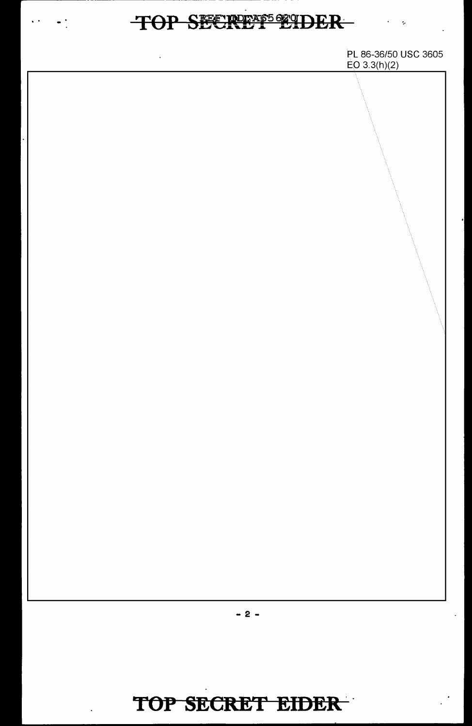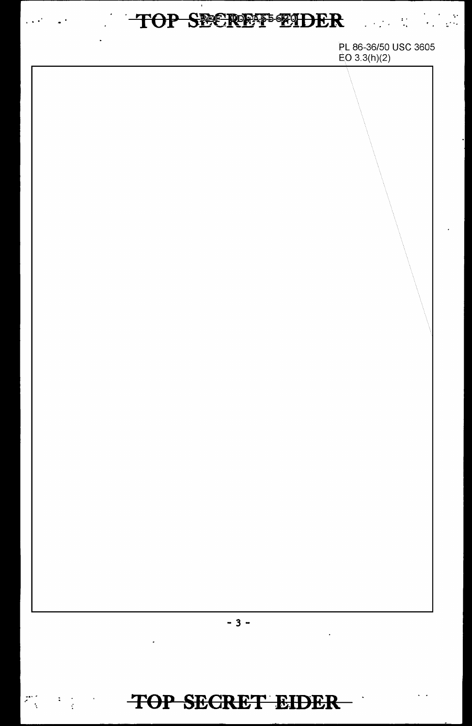# TOP SECREFENDER

 $\omega^{(i)}$ 

 $\mathcal{L} \left( \mathbf{r} \right) \left( \mathbf{r}^{\mathrm{T}} \right)$  ,  $\mathcal{L} \left( \mathbf{r} \right)$ 

都是

 $\sim 10^4$ 

PL 86-36/50 USC 3605  $E_O$  3.3(h)(2)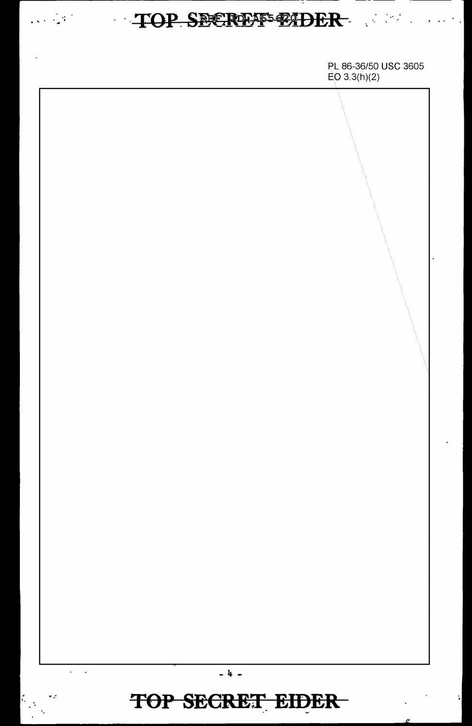# ......------------------- --- ---

PL 86-36/50 USC 3605  $EO 3.3(h)(2)$  $\sim$  $\ddot{\phantom{a}}$ - 4 - **TOP SECRET EIDER** ·- .. ..

.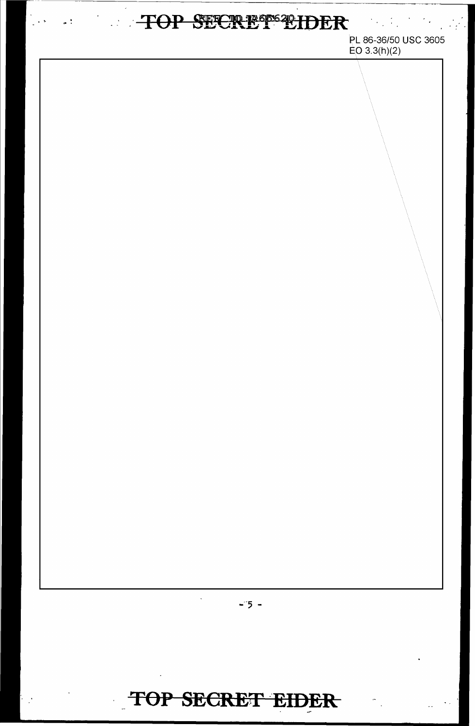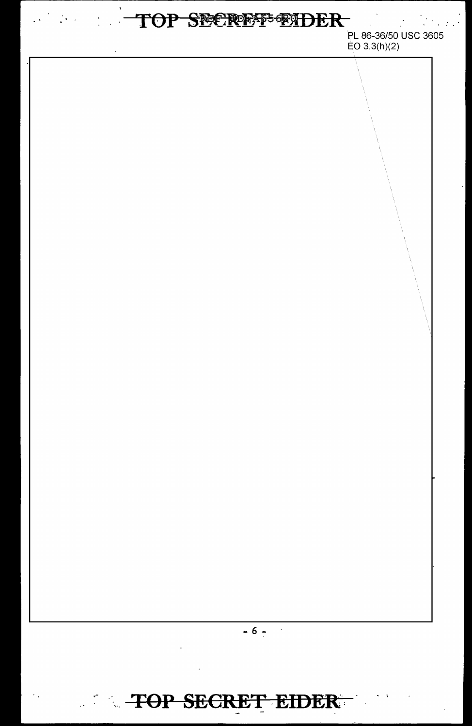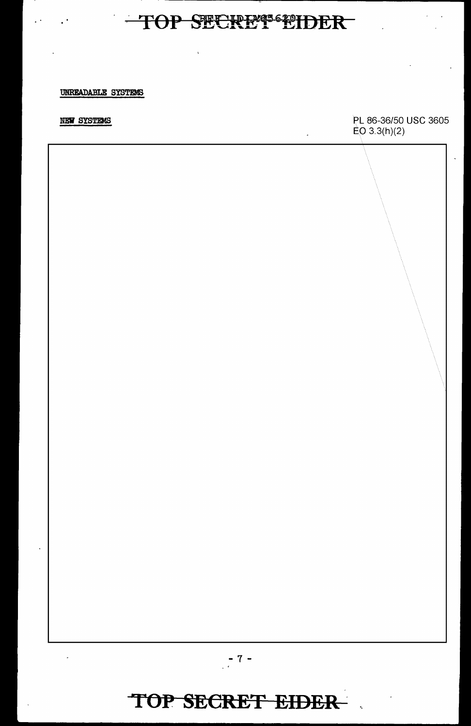$\hat{\mathbf{v}}$ 

#### UNREADABLE SYSTEMS

#### NEW SYSTEMS

PL 86-36/50 USC 3605  $E_O$  3.3(h)(2)

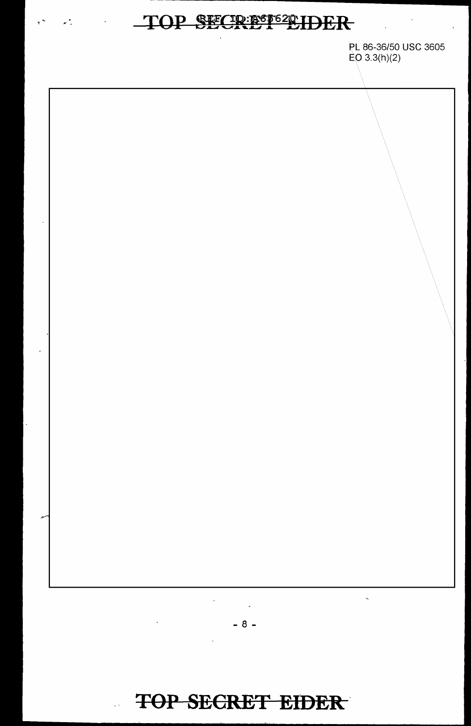$\mathcal{L}^{\text{max}}$ 

PL 86-36/50 USC 3605  $EO(3.3(h)(2)$ 



 $-8-$ 

# TOP SECRET EIDER

 $\mathbb{R}^3$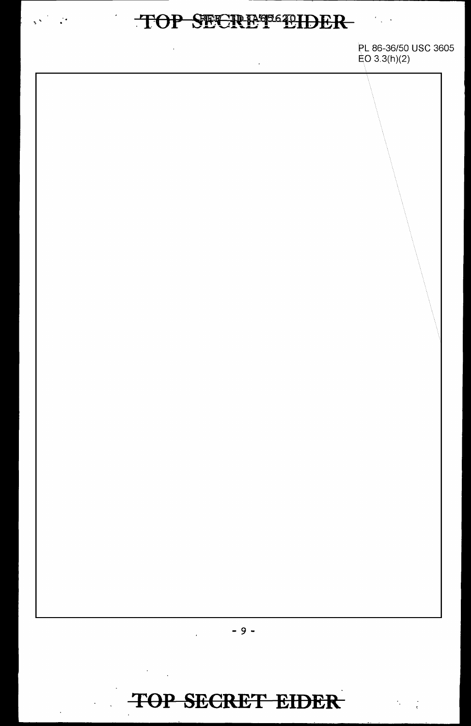# TOP SECREPBELIDER

 $\hat{\mathbf{v}}$ 

 $\label{eq:2.1} \frac{1}{2}\sum_{i=1}^n\frac{1}{2}\sum_{j=1}^n\frac{1}{2}\sum_{j=1}^n\frac{1}{2}\sum_{j=1}^n\frac{1}{2}\sum_{j=1}^n\frac{1}{2}\sum_{j=1}^n\frac{1}{2}\sum_{j=1}^n\frac{1}{2}\sum_{j=1}^n\frac{1}{2}\sum_{j=1}^n\frac{1}{2}\sum_{j=1}^n\frac{1}{2}\sum_{j=1}^n\frac{1}{2}\sum_{j=1}^n\frac{1}{2}\sum_{j=1}^n\frac{1}{2}\sum_{j=1}^n\$ 

PL 86-36/50 USC 3605  $EO 3.3(h)(2)$ 



 $\sim 10^{-11}$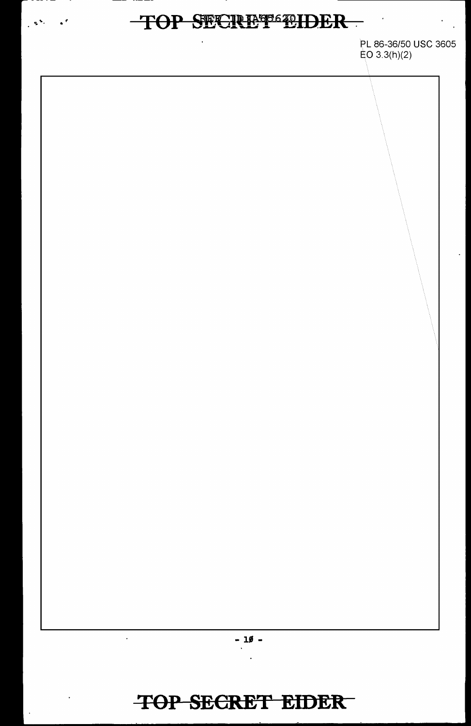$\mathbf{s}^{(k)} = \mathbf{s}^{(k)}$ 

PL 86-36/50 USC 3605 EO 3.3(h)(2)

 $-10 -$ 

 $\ddot{\phantom{a}}$ 

 $\ddot{\phantom{a}}$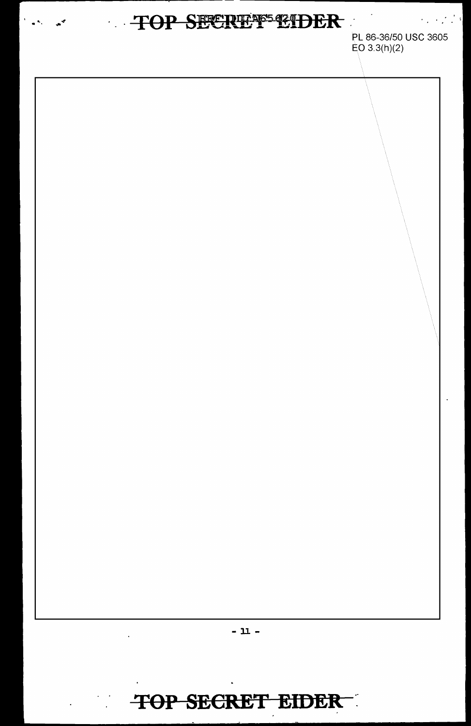# TOP SECREPS CIDER

PL 86-36/50 USC 3605  $EO 3.3(h)(2)$ 

 $\mathcal{L}_{\rm{max}}$